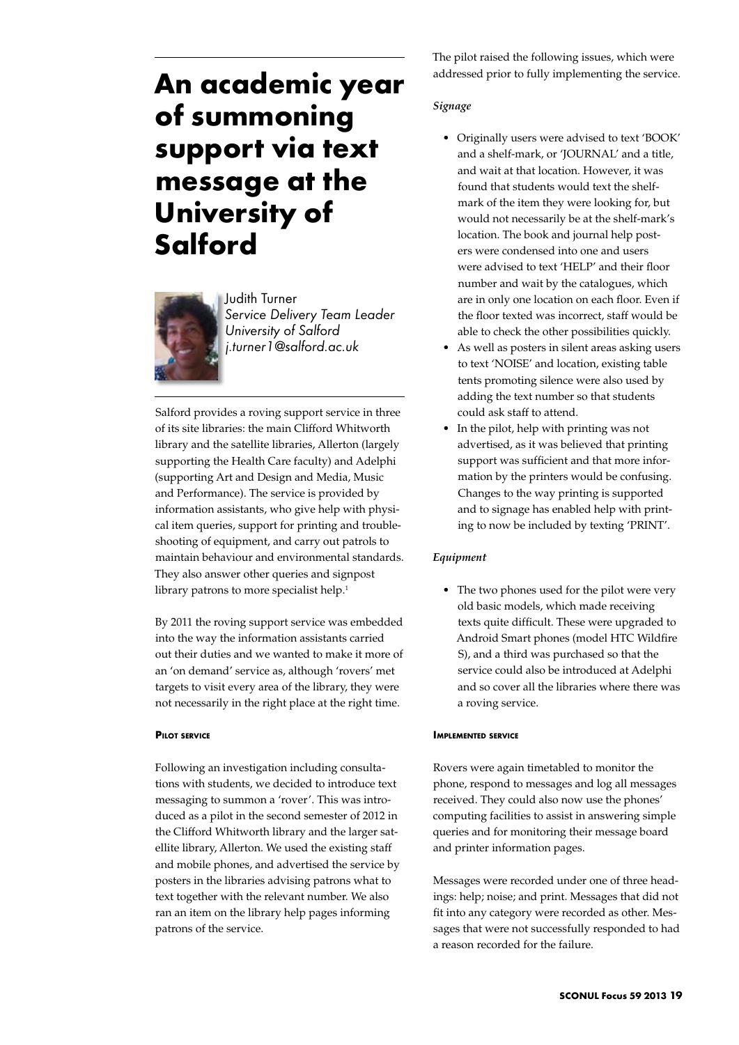# **An academic year of summoning support via text message at the University of Salford**



Judith Turner *Service Delivery Team Leader University of Salford j.turner1@salford.ac.uk*

Salford provides a roving support service in three of its site libraries: the main Clifford Whitworth library and the satellite libraries, Allerton (largely supporting the Health Care faculty) and Adelphi (supporting Art and Design and Media, Music and Performance). The service is provided by information assistants, who give help with physical item queries, support for printing and troubleshooting of equipment, and carry out patrols to maintain behaviour and environmental standards. They also answer other queries and signpost library patrons to more specialist help.<sup>1</sup>

By 2011 the roving support service was embedded into the way the information assistants carried out their duties and we wanted to make it more of an 'on demand' service as, although 'rovers' met targets to visit every area of the library, they were not necessarily in the right place at the right time.

## **Pilot service**

Following an investigation including consultations with students, we decided to introduce text messaging to summon a 'rover'. This was introduced as a pilot in the second semester of 2012 in the Clifford Whitworth library and the larger satellite library, Allerton. We used the existing staff and mobile phones, and advertised the service by posters in the libraries advising patrons what to text together with the relevant number. We also ran an item on the library help pages informing patrons of the service.

The pilot raised the following issues, which were addressed prior to fully implementing the service.

## *Signage*

- • Originally users were advised to text 'BOOK' and a shelf-mark, or 'JOURNAL' and a title, and wait at that location. However, it was found that students would text the shelfmark of the item they were looking for, but would not necessarily be at the shelf-mark's location. The book and journal help posters were condensed into one and users were advised to text 'HELP' and their floor number and wait by the catalogues, which are in only one location on each floor. Even if the floor texted was incorrect, staff would be able to check the other possibilities quickly.
- As well as posters in silent areas asking users to text 'NOISE' and location, existing table tents promoting silence were also used by adding the text number so that students could ask staff to attend.
- In the pilot, help with printing was not advertised, as it was believed that printing support was sufficient and that more information by the printers would be confusing. Changes to the way printing is supported and to signage has enabled help with printing to now be included by texting 'PRINT'.

## *Equipment*

• The two phones used for the pilot were very old basic models, which made receiving texts quite difficult. These were upgraded to Android Smart phones (model HTC Wildfire S), and a third was purchased so that the service could also be introduced at Adelphi and so cover all the libraries where there was a roving service.

#### **Implemented service**

Rovers were again timetabled to monitor the phone, respond to messages and log all messages received. They could also now use the phones' computing facilities to assist in answering simple queries and for monitoring their message board and printer information pages.

Messages were recorded under one of three headings: help; noise; and print. Messages that did not fit into any category were recorded as other. Messages that were not successfully responded to had a reason recorded for the failure.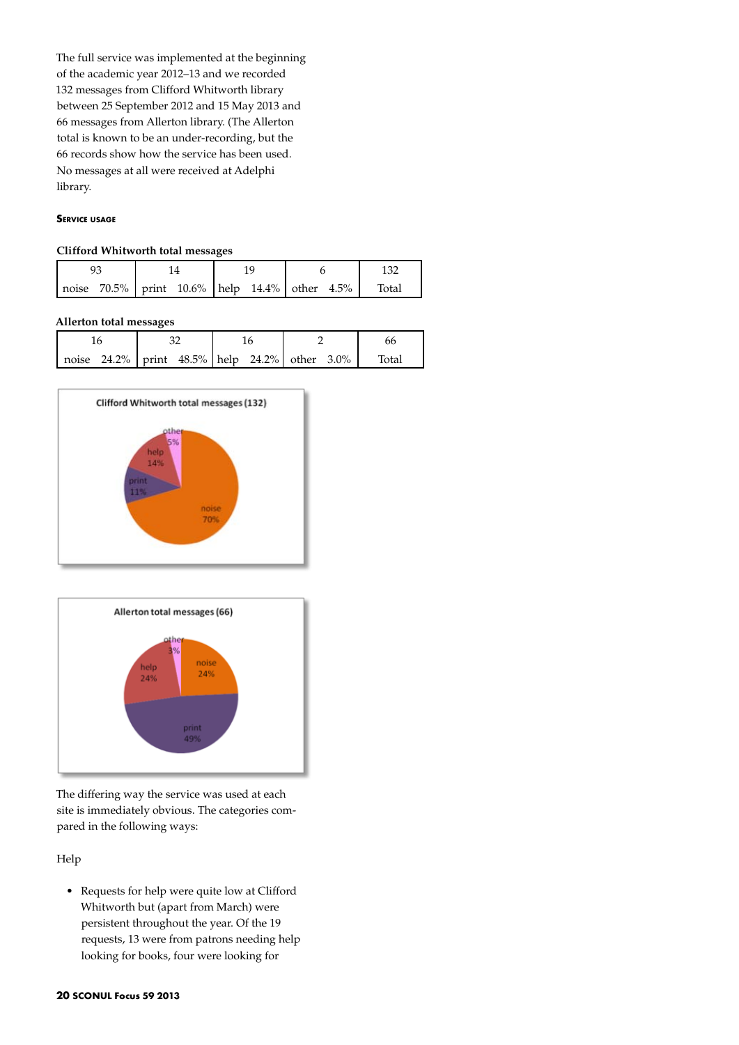The full service was implemented at the beginning of the academic year 2012–13 and we recorded 132 messages from Clifford Whitworth library between 25 September 2012 and 15 May 2013 and 66 messages from Allerton library. (The Allerton total is known to be an under-recording, but the 66 records show how the service has been used. No messages at all were received at Adelphi library.

### **Service usage**

### **Clifford Whitworth total messages**

|  |  |  | noise $70.5\%$ print $10.6\%$ help $14.4\%$ other $4.5\%$ |  |  |  |  | Total |  |  |
|--|--|--|-----------------------------------------------------------|--|--|--|--|-------|--|--|

## **Allerton total messages**

|                                                           |  | bb                |  |
|-----------------------------------------------------------|--|-------------------|--|
| noise $24.2\%$ print $48.5\%$ help $24.2\%$ other $3.0\%$ |  | <sup>-</sup> otal |  |





The differing way the service was used at each site is immediately obvious. The categories compared in the following ways:

Help

• Requests for help were quite low at Clifford Whitworth but (apart from March) were persistent throughout the year. Of the 19 requests, 13 were from patrons needing help looking for books, four were looking for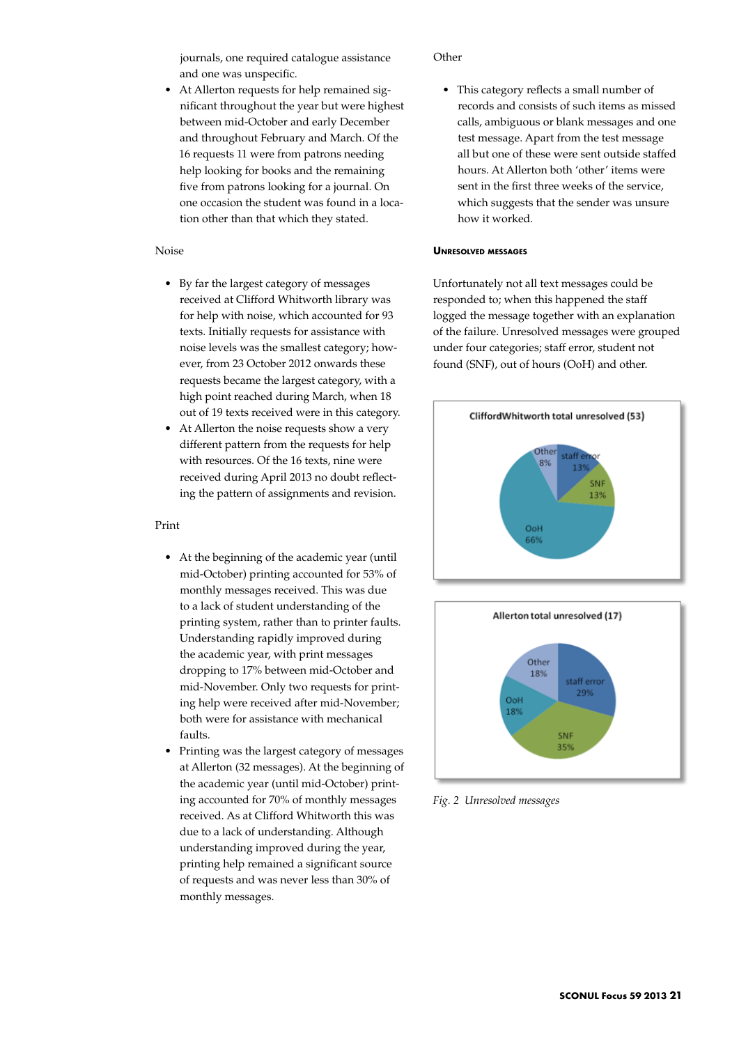journals, one required catalogue assistance and one was unspecific.

• At Allerton requests for help remained significant throughout the year but were highest between mid-October and early December and throughout February and March. Of the 16 requests 11 were from patrons needing help looking for books and the remaining five from patrons looking for a journal. On one occasion the student was found in a location other than that which they stated.

### Noise

- • By far the largest category of messages received at Clifford Whitworth library was for help with noise, which accounted for 93 texts. Initially requests for assistance with noise levels was the smallest category; however, from 23 October 2012 onwards these requests became the largest category, with a high point reached during March, when 18 out of 19 texts received were in this category.
- At Allerton the noise requests show a very different pattern from the requests for help with resources. Of the 16 texts, nine were received during April 2013 no doubt reflecting the pattern of assignments and revision.

#### Print

- • At the beginning of the academic year (until mid-October) printing accounted for 53% of monthly messages received. This was due to a lack of student understanding of the printing system, rather than to printer faults. Understanding rapidly improved during the academic year, with print messages dropping to 17% between mid-October and mid-November. Only two requests for printing help were received after mid-November; both were for assistance with mechanical faults.
- Printing was the largest category of messages at Allerton (32 messages). At the beginning of the academic year (until mid-October) printing accounted for 70% of monthly messages received. As at Clifford Whitworth this was due to a lack of understanding. Although understanding improved during the year, printing help remained a significant source of requests and was never less than 30% of monthly messages.

#### **Other**

• This category reflects a small number of records and consists of such items as missed calls, ambiguous or blank messages and one test message. Apart from the test message all but one of these were sent outside staffed hours. At Allerton both 'other' items were sent in the first three weeks of the service, which suggests that the sender was unsure how it worked.

#### **Unresolved messages**

Unfortunately not all text messages could be responded to; when this happened the staff logged the message together with an explanation of the failure. Unresolved messages were grouped under four categories; staff error, student not found (SNF), out of hours (OoH) and other.





*Fig. 2 Unresolved messages*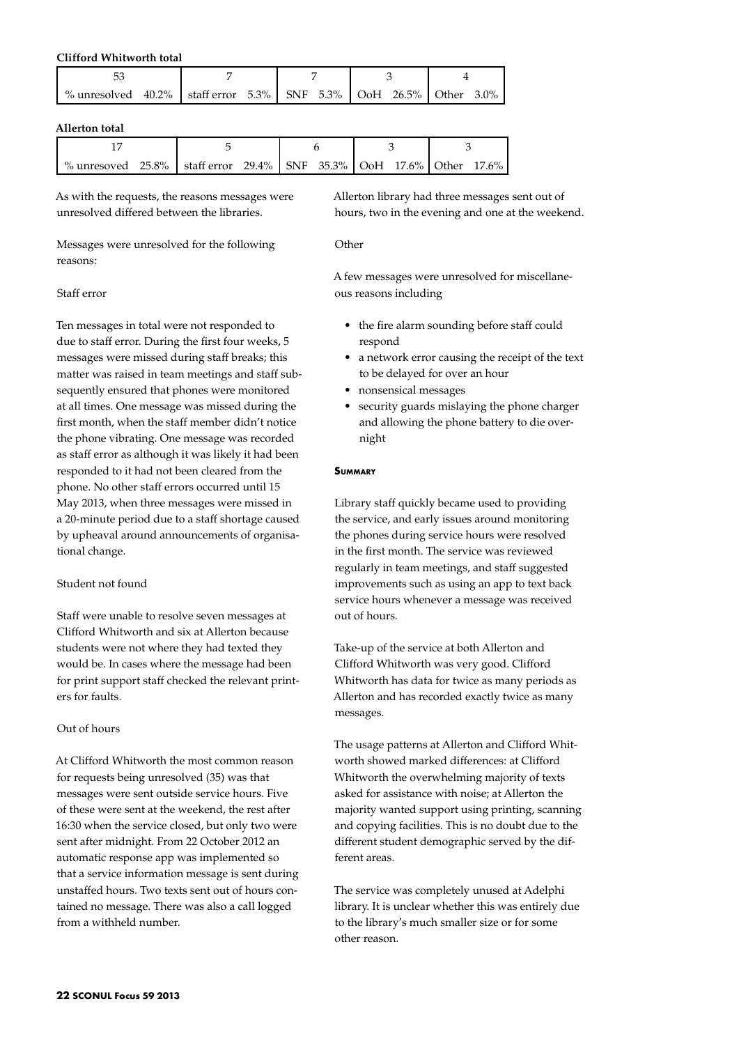# **Clifford Whitworth total**

| % unresolved $40.2\%$   staff error $5.3\%$   SNF $5.3\%$   OoH $26.5\%$   Other $3.0\%$ |  |  |  |
|------------------------------------------------------------------------------------------|--|--|--|

## **Allerton total**

| % unresoved 25.8% staff error 29.4% SNF 35.3% OoH 17.6% Other 17.6% |  |  |  |  |  |  |  |  |
|---------------------------------------------------------------------|--|--|--|--|--|--|--|--|

As with the requests, the reasons messages were unresolved differed between the libraries.

Messages were unresolved for the following reasons:

# Staff error

Ten messages in total were not responded to due to staff error. During the first four weeks, 5 messages were missed during staff breaks; this matter was raised in team meetings and staff subsequently ensured that phones were monitored at all times. One message was missed during the first month, when the staff member didn't notice the phone vibrating. One message was recorded as staff error as although it was likely it had been responded to it had not been cleared from the phone. No other staff errors occurred until 15 May 2013, when three messages were missed in a 20-minute period due to a staff shortage caused by upheaval around announcements of organisational change.

# Student not found

Staff were unable to resolve seven messages at Clifford Whitworth and six at Allerton because students were not where they had texted they would be. In cases where the message had been for print support staff checked the relevant printers for faults.

# Out of hours

At Clifford Whitworth the most common reason for requests being unresolved (35) was that messages were sent outside service hours. Five of these were sent at the weekend, the rest after 16:30 when the service closed, but only two were sent after midnight. From 22 October 2012 an automatic response app was implemented so that a service information message is sent during unstaffed hours. Two texts sent out of hours contained no message. There was also a call logged from a withheld number.

Allerton library had three messages sent out of hours, two in the evening and one at the weekend.

# **Other**

A few messages were unresolved for miscellaneous reasons including

- • the fire alarm sounding before staff could respond
- a network error causing the receipt of the text to be delayed for over an hour
- nonsensical messages
- • security guards mislaying the phone charger and allowing the phone battery to die overnight

## **Summary**

Library staff quickly became used to providing the service, and early issues around monitoring the phones during service hours were resolved in the first month. The service was reviewed regularly in team meetings, and staff suggested improvements such as using an app to text back service hours whenever a message was received out of hours.

Take-up of the service at both Allerton and Clifford Whitworth was very good. Clifford Whitworth has data for twice as many periods as Allerton and has recorded exactly twice as many messages.

The usage patterns at Allerton and Clifford Whitworth showed marked differences: at Clifford Whitworth the overwhelming majority of texts asked for assistance with noise; at Allerton the majority wanted support using printing, scanning and copying facilities. This is no doubt due to the different student demographic served by the different areas.

The service was completely unused at Adelphi library. It is unclear whether this was entirely due to the library's much smaller size or for some other reason.